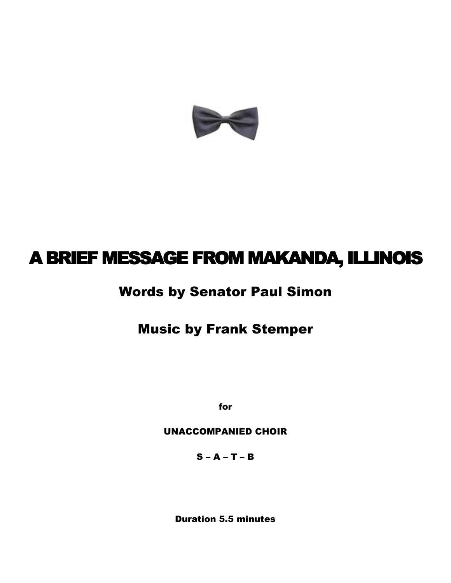

# A BRIEF MESSAGE FROM MAKANDA, ILLINOIS

## Words by Senator Paul Simon

## Music by Frank Stemper

for

#### UNACCOMPANIED CHOIR

### $S - A - T - B$

Duration 5.5 minutes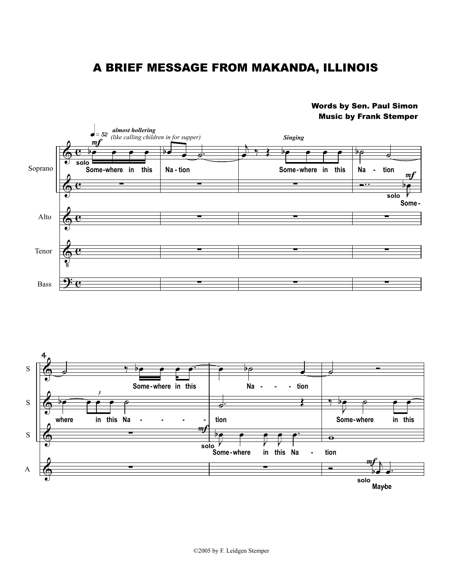### A BRIEF MESSAGE FROM MAKANDA, ILLINOIS

#### Words by Sen. Paul Simon Music by Frank Stemper



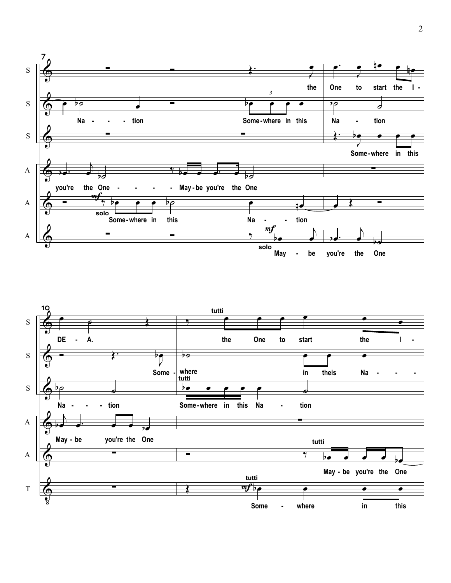

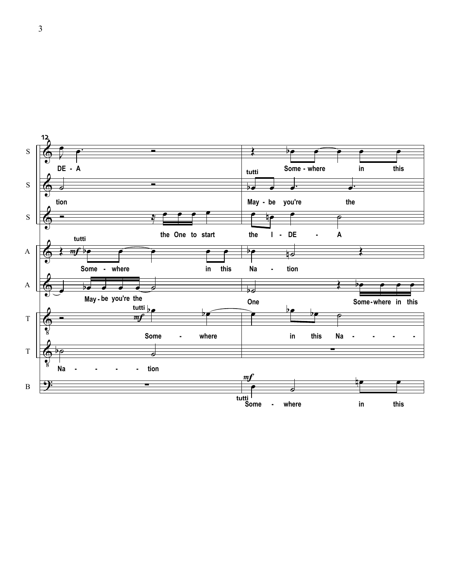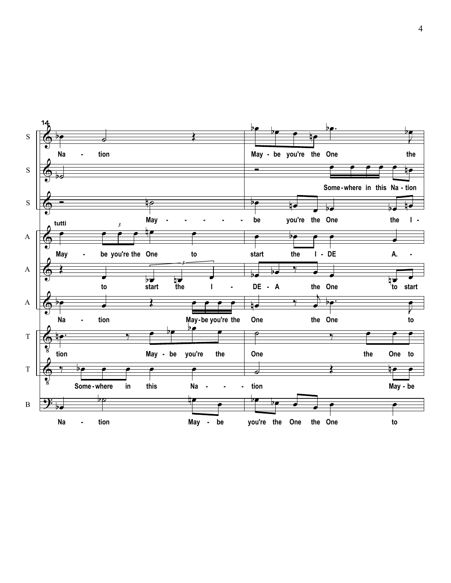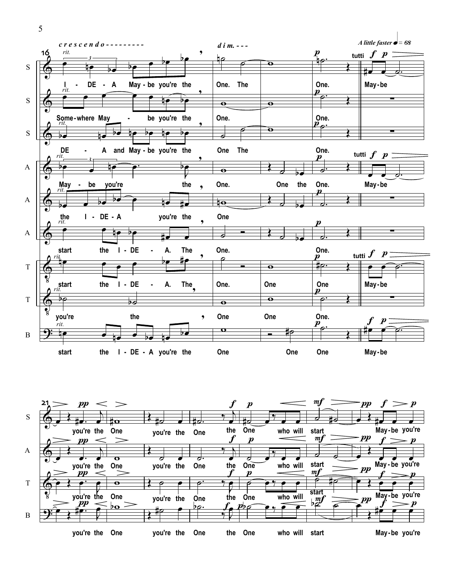

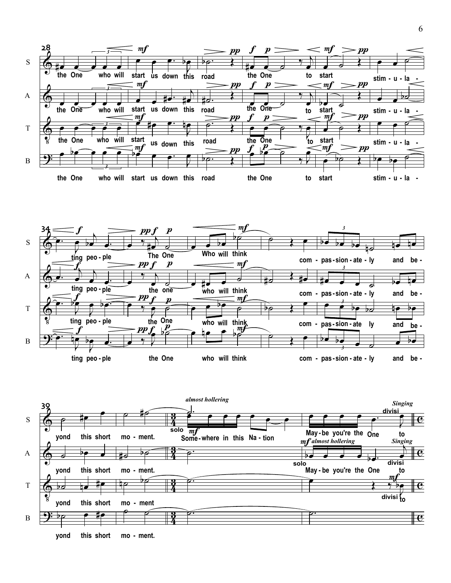





**yond this short mo - ment.**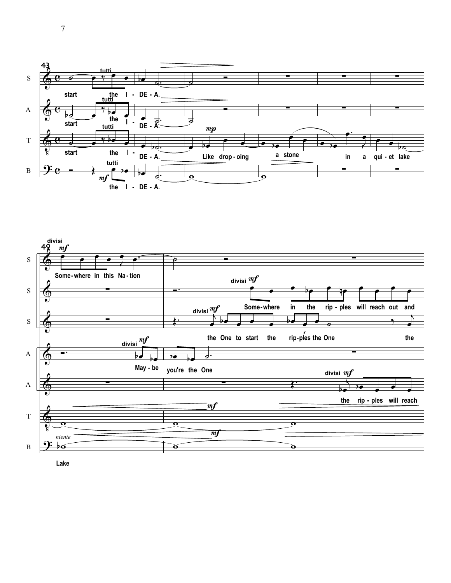



Lake

 $\overline{7}$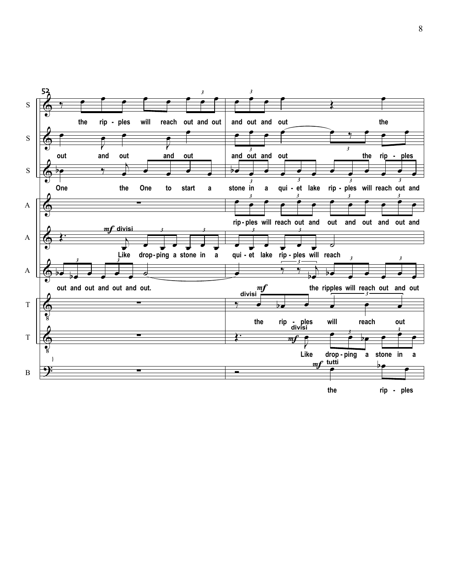

8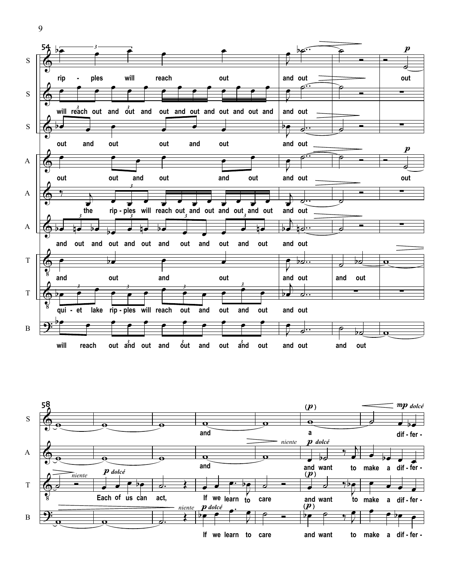



9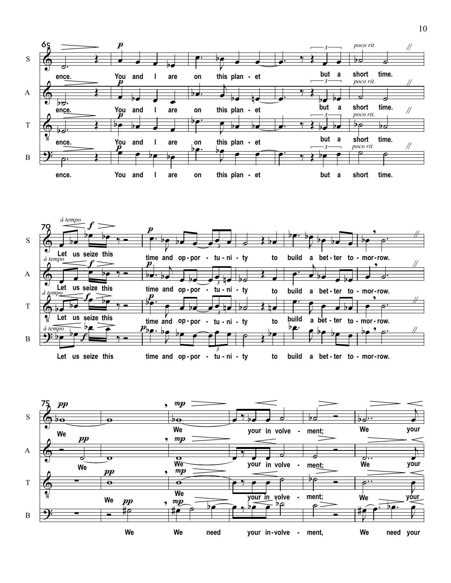